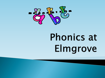

## **Phonics at** Elmgrove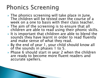## **Phonics Screening**

- ▶ The phonics screening will take place in June. The children will be tested over the course of a week on a one to basis with their class teacher.
- **► The aim of the screening is to ensure that all** children are able to read using their phonic skills.
- It is important that children are able to blend the sounds they have learnt in order to read fluently and make sense of what they read.
- By the end of year 1, your child should know all of the sounds in phases 1 to 5.
- ▶ Phase 6 should start in year 2 when the children are ready to become more fluent readers and accurate spellers.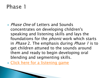▶ *Phase One* of Letters and Sounds concentrates on developing children's speaking and listening skills and lays the foundations for the *phonic* work which starts in *Phase* 2. The emphasis during *Phase 1* is to get children attuned to the sounds around them and ready to begin developing oral blending and segmenting skills.

▶ [Click here for a listening game](https://www.youtube.com/watch?v=Z2A6Ca_HZUQ)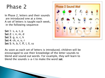In Phase 2, letters and their sounds are introduced one at a time. A set of letters is taught each week, in the following sequence:

```
Set 1: s, a, t, p
Set 2: i, n, m, d
Set 3: g, o, c, k
Set 4: ck, e, u, r
Set 5: h, b, f, ff, l, ll, ss
```


As soon as each set of letters is introduced, children will be encouraged to use their knowledge of the letter sounds to blend and sound out words. For example, they will learn to blend the sounds s-a-t to make the word sat.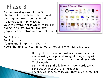By the time they reach Phase 3, children will already be able to blend and segment words containing the 19 letters taught in Phase 2. Over the twelve weeks which Phase 3 is expected to last, twenty-five new graphemes are introduced (one at a time).



Set 6: j, v, w, x Set 7: y, z, zz, qu Consonant digraphs: ch, sh, th, ng Vowel digraphs: ai, ee, igh, oa, oo, ar, or, ur, ow, oi, ear, air, ure, er

> During Phase 3, children will also learn the letter names using an alphabet song, although they will continue to use the sounds when decoding words. Tricky words

During Phase 3, the following tricky words (which can't yet be decoded) are introduced:

he, she, we, me, be, was, you, they, all, are, my, her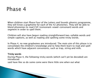When children start Phase Four of the Letters and Sounds phonics programme, they will know a grapheme for each of the 42 phonemes. They will be able to blend phonemes to read CVC (consonant-vowel-consonant) words and segment in order to spell them.

Children will also have begun reading straightforward two-syllable words and simple captions, as well as reading and spelling some tricky words.

In Phase 4, no new graphemes are introduced. The main aim of this phase is to consolidate the children's knowledge and to help them learn to read and spell words which have adjacent consonants, such as trap, string and milk.

#### Tricky words

During Phase 4, the following tricky words (which can't yet be decoded) are introduced:

said have like so do some come were there little one when out what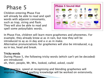will already be able to read and spell<br>words with adiasent sersenants words with adjacent consonant<br>such as trap, string and flask. Children entering Phase Five words with adjacent consonants, They will also be able to read and spell some polysyllabic words.



In Phase Five, children will learn more graphemes and phonemes. For example, they already know ai as in rain, but now they will be introduced to ay as in day and a-e as in make.

Alternative pronunciations for graphemes will also be introduced, e.g. ea in tea, head and break.

#### Tricky words

During Phase 5, the following tricky words (which can't yet be decoded) are introduced:

oh, their, people, Mr, Mrs, looked, called, asked, could

With practice, speed at recognising and blending graphemes will improve. Word and spelling knowledge will be worked on extensively.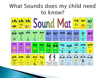## What Sounds does my child need to know?

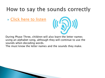## How to say the sounds correctly

▶ [Click here to listen](https://www.youtube.com/watch?v=BqhXUW_v-1s)



During Phase Three, children will also learn the letter names using an alphabet song, although they will continue to use the sounds when decoding words.

The must know the letter names and the sounds they make.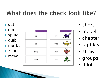## What does the check look like?

Proctice short: Provide

 $\triangleright$  dat  $\rightarrow$  ept Prestor short field up **splue** in. ot.  $\rightarrow$  quib at vap murbs  $\rightarrow$  zeud osk beq meve ect sum.

- short
- · model
- chapter
- reptiles
- · straw
- · groups
- blot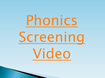# [Phonics](https://www.youtube.com/watch?v=IPJ_ZEBh1Bk&t=11s)  [Screening](https://www.youtube.com/watch?v=IPJ_ZEBh1Bk&t=11s)  [Video](https://www.youtube.com/watch?v=IPJ_ZEBh1Bk&t=11s)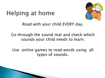## **Helping at home**



Read with your child EVERY day.

Go through the sound mat and check which sounds your child needs to learn.

Use online games to read words using all types of sounds.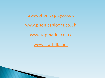[www.phonicsplay.co.uk](http://www.phonicsplay.co.uk/)

[www.phonicsbloom.co.uk](http://www.phonicsbloom.co.uk/)

[www.topmarks.co.uk](http://www.topmarks.co.uk/)

[www.starfall.com](http://www.starfall.com/)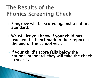## The Results of the **Phonics Screening Check**

- ▶ Elmgrove will be scored against a national standard.
- We will let you know if your child has reached the benchmark in their report at the end of the school year.
- If your child's score falls below the national standard they will take the check in year 2.